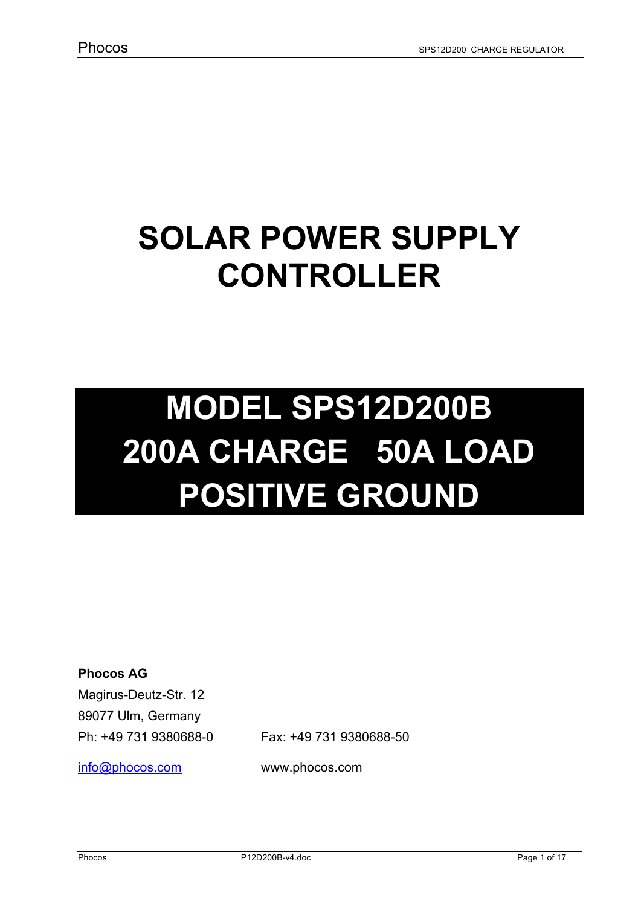# **SOLAR POWER SUPPLY CONTROLLER**

# **MODEL SPS12D200B 200A CHARGE 50A LOAD POSITIVE GROUND**

**Phocos AG** 

Magirus-Deutz-Str. 12 89077 Ulm, Germany Ph: +49 731 9380688-0 Fax: +49 731 9380688-50

info@phocos.com www.phocos.com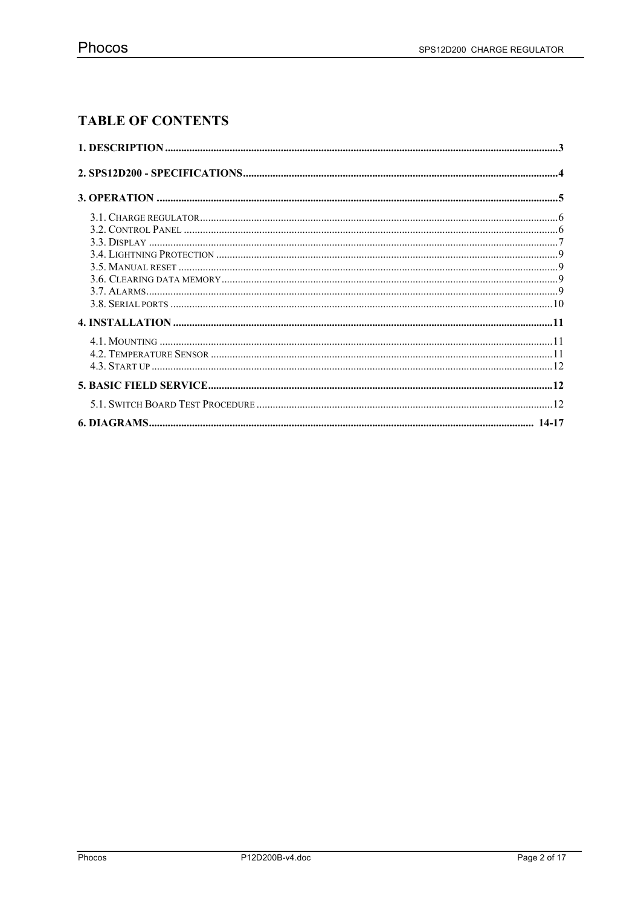# **TABLE OF CONTENTS**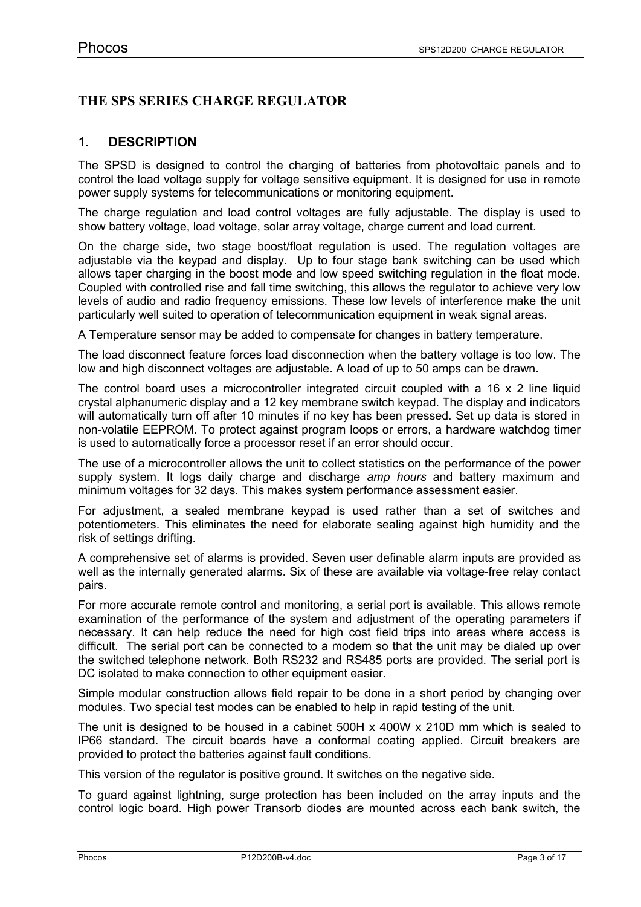# **THE SPS SERIES CHARGE REGULATOR**

### 1. **DESCRIPTION**

The SPSD is designed to control the charging of batteries from photovoltaic panels and to control the load voltage supply for voltage sensitive equipment. It is designed for use in remote power supply systems for telecommunications or monitoring equipment.

The charge regulation and load control voltages are fully adjustable. The display is used to show battery voltage, load voltage, solar array voltage, charge current and load current.

On the charge side, two stage boost/float regulation is used. The regulation voltages are adjustable via the keypad and display. Up to four stage bank switching can be used which allows taper charging in the boost mode and low speed switching regulation in the float mode. Coupled with controlled rise and fall time switching, this allows the regulator to achieve very low levels of audio and radio frequency emissions. These low levels of interference make the unit particularly well suited to operation of telecommunication equipment in weak signal areas.

A Temperature sensor may be added to compensate for changes in battery temperature.

The load disconnect feature forces load disconnection when the battery voltage is too low. The low and high disconnect voltages are adjustable. A load of up to 50 amps can be drawn.

The control board uses a microcontroller integrated circuit coupled with a 16  $\times$  2 line liquid crystal alphanumeric display and a 12 key membrane switch keypad. The display and indicators will automatically turn off after 10 minutes if no key has been pressed. Set up data is stored in non-volatile EEPROM. To protect against program loops or errors, a hardware watchdog timer is used to automatically force a processor reset if an error should occur.

The use of a microcontroller allows the unit to collect statistics on the performance of the power supply system. It logs daily charge and discharge *amp hours* and battery maximum and minimum voltages for 32 days. This makes system performance assessment easier.

For adjustment, a sealed membrane keypad is used rather than a set of switches and potentiometers. This eliminates the need for elaborate sealing against high humidity and the risk of settings drifting.

A comprehensive set of alarms is provided. Seven user definable alarm inputs are provided as well as the internally generated alarms. Six of these are available via voltage-free relay contact pairs.

For more accurate remote control and monitoring, a serial port is available. This allows remote examination of the performance of the system and adjustment of the operating parameters if necessary. It can help reduce the need for high cost field trips into areas where access is difficult. The serial port can be connected to a modem so that the unit may be dialed up over the switched telephone network. Both RS232 and RS485 ports are provided. The serial port is DC isolated to make connection to other equipment easier.

Simple modular construction allows field repair to be done in a short period by changing over modules. Two special test modes can be enabled to help in rapid testing of the unit.

The unit is designed to be housed in a cabinet 500H x 400W x 210D mm which is sealed to IP66 standard. The circuit boards have a conformal coating applied. Circuit breakers are provided to protect the batteries against fault conditions.

This version of the regulator is positive ground. It switches on the negative side.

To guard against lightning, surge protection has been included on the array inputs and the control logic board. High power Transorb diodes are mounted across each bank switch, the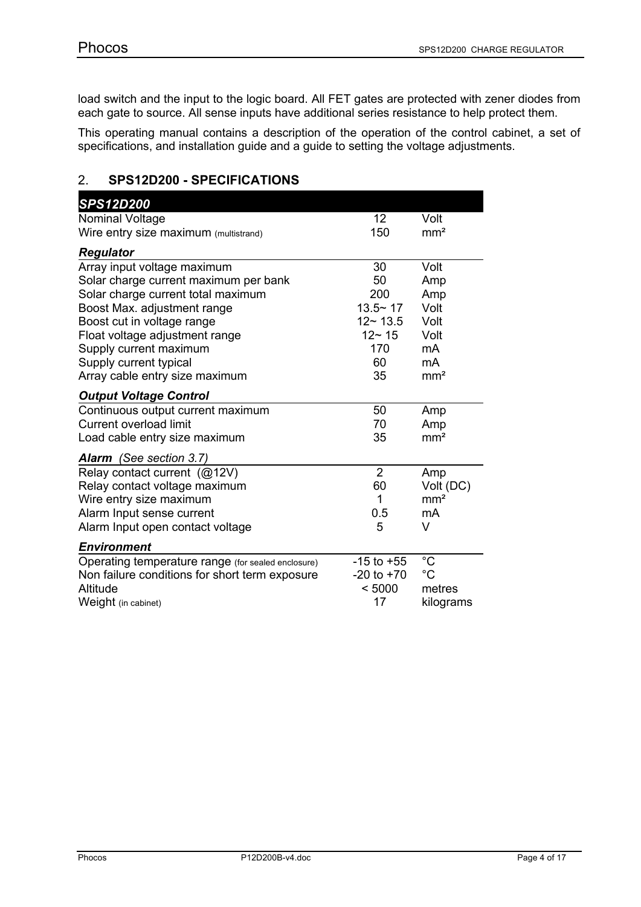load switch and the input to the logic board. All FET gates are protected with zener diodes from each gate to source. All sense inputs have additional series resistance to help protect them.

This operating manual contains a description of the operation of the control cabinet, a set of specifications, and installation guide and a guide to setting the voltage adjustments.

# 2. **SPS12D200 - SPECIFICATIONS**

| <b>SPS12D200</b>                                                                                                                                                                                                                    |                                                                   |                                                   |
|-------------------------------------------------------------------------------------------------------------------------------------------------------------------------------------------------------------------------------------|-------------------------------------------------------------------|---------------------------------------------------|
| Nominal Voltage                                                                                                                                                                                                                     | 12                                                                | Volt                                              |
| Wire entry size maximum (multistrand)                                                                                                                                                                                               | 150                                                               | mm <sup>2</sup>                                   |
| <b>Regulator</b>                                                                                                                                                                                                                    |                                                                   |                                                   |
| Array input voltage maximum<br>Solar charge current maximum per bank<br>Solar charge current total maximum<br>Boost Max. adjustment range<br>Boost cut in voltage range<br>Float voltage adjustment range<br>Supply current maximum | 30<br>50<br>200<br>$13.5 - 17$<br>$12 - 13.5$<br>$12 - 15$<br>170 | Volt<br>Amp<br>Amp<br>Volt<br>Volt<br>Volt<br>mA  |
| Supply current typical<br>Array cable entry size maximum                                                                                                                                                                            | 60<br>35                                                          | mA<br>mm <sup>2</sup>                             |
| <b>Output Voltage Control</b>                                                                                                                                                                                                       |                                                                   |                                                   |
| Continuous output current maximum<br><b>Current overload limit</b><br>Load cable entry size maximum                                                                                                                                 | 50<br>70<br>35                                                    | Amp<br>Amp<br>mm <sup>2</sup>                     |
| Alarm (See section 3.7)                                                                                                                                                                                                             |                                                                   |                                                   |
| Relay contact current (@12V)<br>Relay contact voltage maximum<br>Wire entry size maximum<br>Alarm Input sense current<br>Alarm Input open contact voltage                                                                           | $\overline{2}$<br>60<br>1<br>0.5<br>5                             | Amp<br>Volt (DC)<br>mm <sup>2</sup><br>mA<br>V    |
| <b>Environment</b>                                                                                                                                                                                                                  |                                                                   |                                                   |
| Operating temperature range (for sealed enclosure)<br>Non failure conditions for short term exposure<br>Altitude<br>Weight (in cabinet)                                                                                             | $-15$ to $+55$<br>$-20$ to $+70$<br>< 5000<br>17                  | $^{\circ}C$<br>$^{\circ}C$<br>metres<br>kilograms |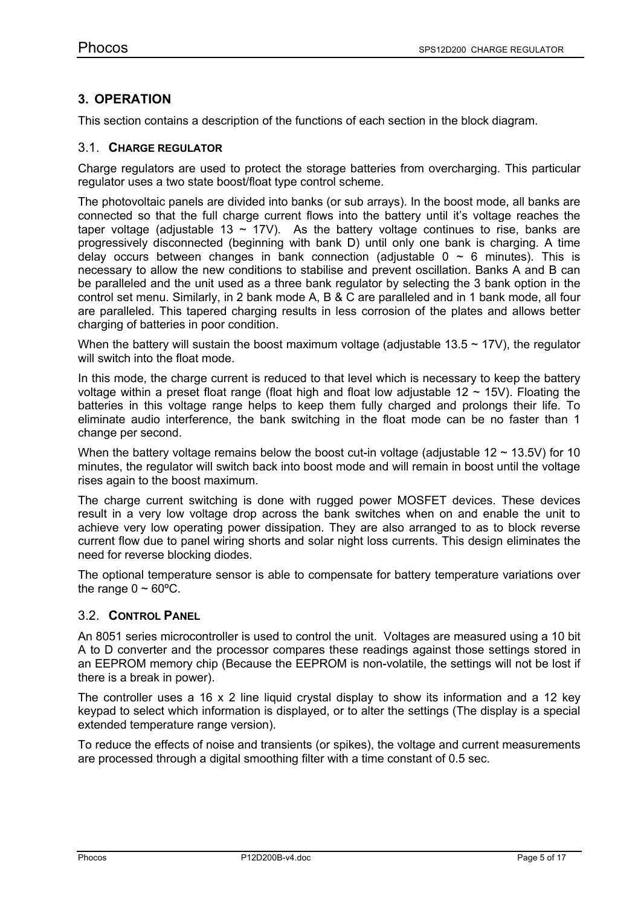# **3. OPERATION**

This section contains a description of the functions of each section in the block diagram.

### 3.1. **CHARGE REGULATOR**

Charge regulators are used to protect the storage batteries from overcharging. This particular regulator uses a two state boost/float type control scheme.

The photovoltaic panels are divided into banks (or sub arrays). In the boost mode, all banks are connected so that the full charge current flows into the battery until it's voltage reaches the taper voltage (adjustable 13  $\sim$  17V). As the battery voltage continues to rise, banks are progressively disconnected (beginning with bank D) until only one bank is charging. A time delay occurs between changes in bank connection (adjustable  $0 \sim 6$  minutes). This is necessary to allow the new conditions to stabilise and prevent oscillation. Banks A and B can be paralleled and the unit used as a three bank regulator by selecting the 3 bank option in the control set menu. Similarly, in 2 bank mode A, B & C are paralleled and in 1 bank mode, all four are paralleled. This tapered charging results in less corrosion of the plates and allows better charging of batteries in poor condition.

When the battery will sustain the boost maximum voltage (adjustable  $13.5 \sim 17$ V), the regulator will switch into the float mode.

In this mode, the charge current is reduced to that level which is necessary to keep the battery voltage within a preset float range (float high and float low adjustable  $12 \sim 15$ V). Floating the batteries in this voltage range helps to keep them fully charged and prolongs their life. To eliminate audio interference, the bank switching in the float mode can be no faster than 1 change per second.

When the battery voltage remains below the boost cut-in voltage (adjustable  $12 \sim 13.5V$ ) for 10 minutes, the regulator will switch back into boost mode and will remain in boost until the voltage rises again to the boost maximum.

The charge current switching is done with rugged power MOSFET devices. These devices result in a very low voltage drop across the bank switches when on and enable the unit to achieve very low operating power dissipation. They are also arranged to as to block reverse current flow due to panel wiring shorts and solar night loss currents. This design eliminates the need for reverse blocking diodes.

The optional temperature sensor is able to compensate for battery temperature variations over the range  $0 \sim 60^{\circ}$ C.

### 3.2. **CONTROL PANEL**

An 8051 series microcontroller is used to control the unit. Voltages are measured using a 10 bit A to D converter and the processor compares these readings against those settings stored in an EEPROM memory chip (Because the EEPROM is non-volatile, the settings will not be lost if there is a break in power).

The controller uses a 16 x 2 line liquid crystal display to show its information and a 12 key keypad to select which information is displayed, or to alter the settings (The display is a special extended temperature range version).

To reduce the effects of noise and transients (or spikes), the voltage and current measurements are processed through a digital smoothing filter with a time constant of 0.5 sec.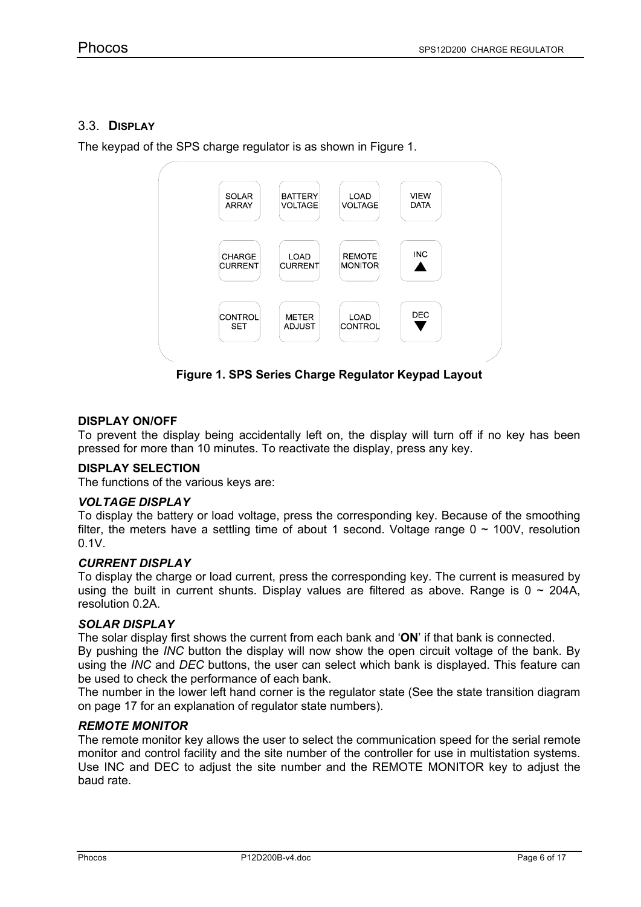## 3.3. **DISPLAY**

The keypad of the SPS charge regulator is as shown in Figure 1.



**Figure 1. SPS Series Charge Regulator Keypad Layout**

### **DISPLAY ON/OFF**

To prevent the display being accidentally left on, the display will turn off if no key has been pressed for more than 10 minutes. To reactivate the display, press any key.

#### **DISPLAY SELECTION**

The functions of the various keys are:

#### *VOLTAGE DISPLAY*

To display the battery or load voltage, press the corresponding key. Because of the smoothing filter, the meters have a settling time of about 1 second. Voltage range  $0 \sim 100V$ , resolution 0.1V.

#### *CURRENT DISPLAY*

To display the charge or load current, press the corresponding key. The current is measured by using the built in current shunts. Display values are filtered as above. Range is  $0 \sim 204$ A, resolution 0.2A.

#### *SOLAR DISPLAY*

The solar display first shows the current from each bank and '**ON**' if that bank is connected.

By pushing the *INC* button the display will now show the open circuit voltage of the bank. By using the *INC* and *DEC* buttons, the user can select which bank is displayed. This feature can be used to check the performance of each bank.

The number in the lower left hand corner is the regulator state (See the state transition diagram on page 17 for an explanation of regulator state numbers).

#### *REMOTE MONITOR*

The remote monitor key allows the user to select the communication speed for the serial remote monitor and control facility and the site number of the controller for use in multistation systems. Use INC and DEC to adjust the site number and the REMOTE MONITOR key to adjust the baud rate.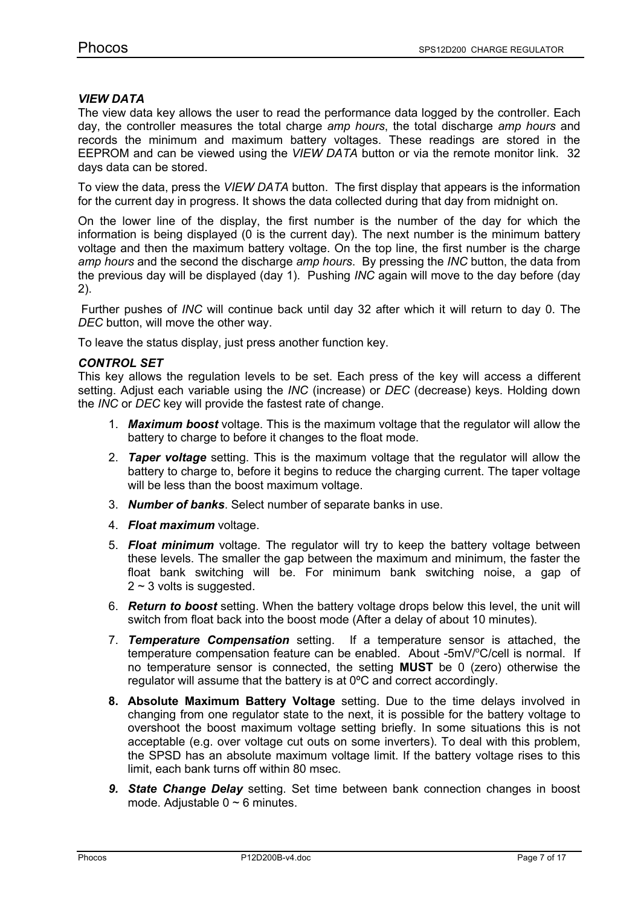#### *VIEW DATA*

The view data key allows the user to read the performance data logged by the controller. Each day, the controller measures the total charge *amp hours*, the total discharge *amp hours* and records the minimum and maximum battery voltages. These readings are stored in the EEPROM and can be viewed using the *VIEW DATA* button or via the remote monitor link. 32 days data can be stored.

To view the data, press the *VIEW DATA* button. The first display that appears is the information for the current day in progress. It shows the data collected during that day from midnight on.

On the lower line of the display, the first number is the number of the day for which the information is being displayed (0 is the current day). The next number is the minimum battery voltage and then the maximum battery voltage. On the top line, the first number is the charge *amp hours* and the second the discharge *amp hours*. By pressing the *INC* button, the data from the previous day will be displayed (day 1). Pushing *INC* again will move to the day before (day 2).

Further pushes of *INC* will continue back until day 32 after which it will return to day 0. The *DEC* button, will move the other way.

To leave the status display, just press another function key.

#### *CONTROL SET*

This key allows the regulation levels to be set. Each press of the key will access a different setting. Adjust each variable using the *INC* (increase) or *DEC* (decrease) keys. Holding down the *INC* or *DEC* key will provide the fastest rate of change.

- 1. *Maximum boost* voltage. This is the maximum voltage that the regulator will allow the battery to charge to before it changes to the float mode.
- 2. *Taper voltage* setting. This is the maximum voltage that the regulator will allow the battery to charge to, before it begins to reduce the charging current. The taper voltage will be less than the boost maximum voltage.
- 3. *Number of banks*. Select number of separate banks in use.
- 4. *Float maximum* voltage.
- 5. *Float minimum* voltage. The regulator will try to keep the battery voltage between these levels. The smaller the gap between the maximum and minimum, the faster the float bank switching will be. For minimum bank switching noise, a gap of  $2 \sim 3$  volts is suggested.
- 6. *Return to boost* setting. When the battery voltage drops below this level, the unit will switch from float back into the boost mode (After a delay of about 10 minutes).
- 7. *Temperature Compensation* setting. If a temperature sensor is attached, the temperature compensation feature can be enabled. About -5mV/°C/cell is normal. If no temperature sensor is connected, the setting **MUST** be 0 (zero) otherwise the regulator will assume that the battery is at 0ºC and correct accordingly.
- **8. Absolute Maximum Battery Voltage** setting. Due to the time delays involved in changing from one regulator state to the next, it is possible for the battery voltage to overshoot the boost maximum voltage setting briefly. In some situations this is not acceptable (e.g. over voltage cut outs on some inverters). To deal with this problem, the SPSD has an absolute maximum voltage limit. If the battery voltage rises to this limit, each bank turns off within 80 msec.
- *9. State Change Delay* setting. Set time between bank connection changes in boost mode. Adjustable  $0 \sim 6$  minutes.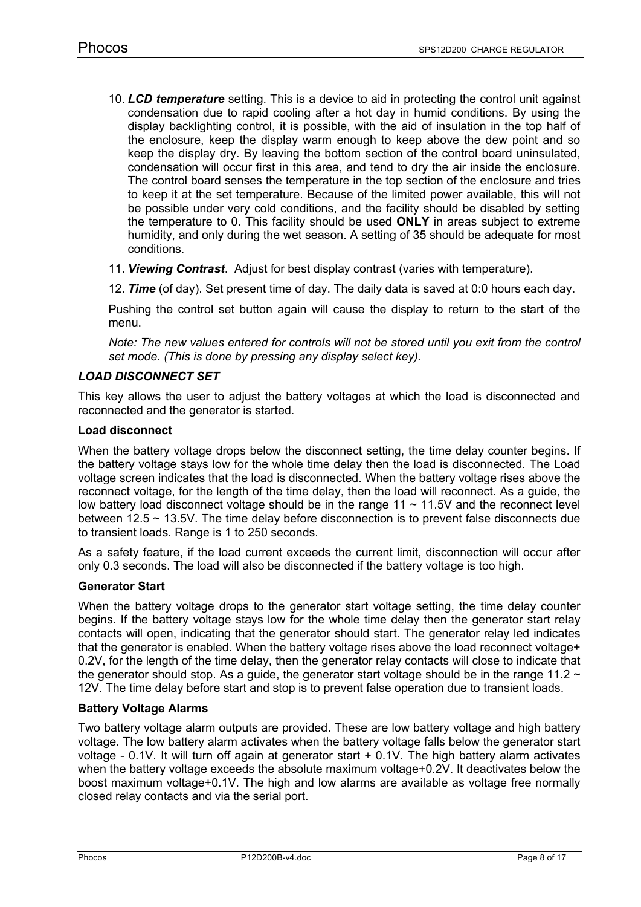- 10. *LCD temperature* setting. This is a device to aid in protecting the control unit against condensation due to rapid cooling after a hot day in humid conditions. By using the display backlighting control, it is possible, with the aid of insulation in the top half of the enclosure, keep the display warm enough to keep above the dew point and so keep the display dry. By leaving the bottom section of the control board uninsulated, condensation will occur first in this area, and tend to dry the air inside the enclosure. The control board senses the temperature in the top section of the enclosure and tries to keep it at the set temperature. Because of the limited power available, this will not be possible under very cold conditions, and the facility should be disabled by setting the temperature to 0. This facility should be used **ONLY** in areas subject to extreme humidity, and only during the wet season. A setting of 35 should be adequate for most conditions.
- 11. *Viewing Contrast*. Adjust for best display contrast (varies with temperature).
- 12. *Time* (of day). Set present time of day. The daily data is saved at 0:0 hours each day.

Pushing the control set button again will cause the display to return to the start of the menu.

*Note: The new values entered for controls will not be stored until you exit from the control set mode. (This is done by pressing any display select key).*

#### *LOAD DISCONNECT SET*

This key allows the user to adjust the battery voltages at which the load is disconnected and reconnected and the generator is started.

#### **Load disconnect**

When the battery voltage drops below the disconnect setting, the time delay counter begins. If the battery voltage stays low for the whole time delay then the load is disconnected. The Load voltage screen indicates that the load is disconnected. When the battery voltage rises above the reconnect voltage, for the length of the time delay, then the load will reconnect. As a guide, the low battery load disconnect voltage should be in the range  $11 \sim 11.5V$  and the reconnect level between 12.5 ~ 13.5V. The time delay before disconnection is to prevent false disconnects due to transient loads. Range is 1 to 250 seconds.

As a safety feature, if the load current exceeds the current limit, disconnection will occur after only 0.3 seconds. The load will also be disconnected if the battery voltage is too high.

#### **Generator Start**

When the battery voltage drops to the generator start voltage setting, the time delay counter begins. If the battery voltage stays low for the whole time delay then the generator start relay contacts will open, indicating that the generator should start. The generator relay led indicates that the generator is enabled. When the battery voltage rises above the load reconnect voltage+ 0.2V, for the length of the time delay, then the generator relay contacts will close to indicate that the generator should stop. As a guide, the generator start voltage should be in the range 11.2  $\sim$ 12V. The time delay before start and stop is to prevent false operation due to transient loads.

#### **Battery Voltage Alarms**

Two battery voltage alarm outputs are provided. These are low battery voltage and high battery voltage. The low battery alarm activates when the battery voltage falls below the generator start voltage - 0.1V. It will turn off again at generator start + 0.1V. The high battery alarm activates when the battery voltage exceeds the absolute maximum voltage+0.2V. It deactivates below the boost maximum voltage+0.1V. The high and low alarms are available as voltage free normally closed relay contacts and via the serial port.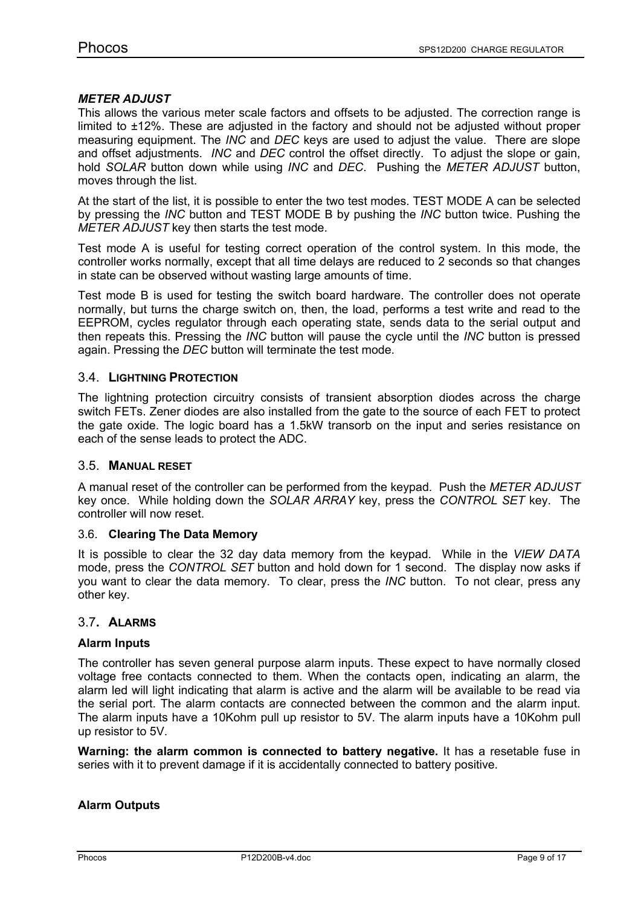#### *METER ADJUST*

This allows the various meter scale factors and offsets to be adjusted. The correction range is limited to ±12%. These are adjusted in the factory and should not be adjusted without proper measuring equipment. The *INC* and *DEC* keys are used to adjust the value. There are slope and offset adjustments. *INC* and *DEC* control the offset directly. To adjust the slope or gain, hold *SOLAR* button down while using *INC* and *DEC*. Pushing the *METER ADJUST* button, moves through the list.

At the start of the list, it is possible to enter the two test modes. TEST MODE A can be selected by pressing the *INC* button and TEST MODE B by pushing the *INC* button twice. Pushing the *METER ADJUST* key then starts the test mode.

Test mode A is useful for testing correct operation of the control system. In this mode, the controller works normally, except that all time delays are reduced to 2 seconds so that changes in state can be observed without wasting large amounts of time.

Test mode B is used for testing the switch board hardware. The controller does not operate normally, but turns the charge switch on, then, the load, performs a test write and read to the EEPROM, cycles regulator through each operating state, sends data to the serial output and then repeats this. Pressing the *INC* button will pause the cycle until the *INC* button is pressed again. Pressing the *DEC* button will terminate the test mode.

#### 3.4. **LIGHTNING PROTECTION**

The lightning protection circuitry consists of transient absorption diodes across the charge switch FETs. Zener diodes are also installed from the gate to the source of each FET to protect the gate oxide. The logic board has a 1.5kW transorb on the input and series resistance on each of the sense leads to protect the ADC.

#### 3.5. **MANUAL RESET**

A manual reset of the controller can be performed from the keypad. Push the *METER ADJUST* key once. While holding down the *SOLAR ARRAY* key, press the *CONTROL SET* key. The controller will now reset.

#### 3.6. **Clearing The Data Memory**

It is possible to clear the 32 day data memory from the keypad. While in the *VIEW DATA*  mode, press the *CONTROL SET* button and hold down for 1 second. The display now asks if you want to clear the data memory. To clear, press the *INC* button. To not clear, press any other key.

#### 3.7**. ALARMS**

#### **Alarm Inputs**

The controller has seven general purpose alarm inputs. These expect to have normally closed voltage free contacts connected to them. When the contacts open, indicating an alarm, the alarm led will light indicating that alarm is active and the alarm will be available to be read via the serial port. The alarm contacts are connected between the common and the alarm input. The alarm inputs have a 10Kohm pull up resistor to 5V. The alarm inputs have a 10Kohm pull up resistor to 5V.

**Warning: the alarm common is connected to battery negative.** It has a resetable fuse in series with it to prevent damage if it is accidentally connected to battery positive.

#### **Alarm Outputs**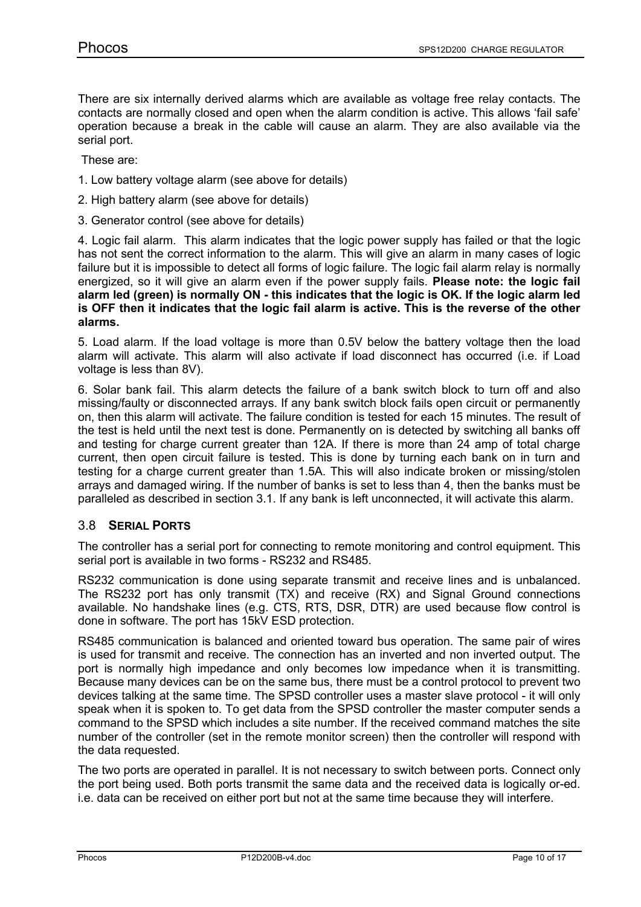There are six internally derived alarms which are available as voltage free relay contacts. The contacts are normally closed and open when the alarm condition is active. This allows 'fail safe' operation because a break in the cable will cause an alarm. They are also available via the serial port.

These are:

- 1. Low battery voltage alarm (see above for details)
- 2. High battery alarm (see above for details)
- 3. Generator control (see above for details)

4. Logic fail alarm. This alarm indicates that the logic power supply has failed or that the logic has not sent the correct information to the alarm. This will give an alarm in many cases of logic failure but it is impossible to detect all forms of logic failure. The logic fail alarm relay is normally energized, so it will give an alarm even if the power supply fails. **Please note: the logic fail alarm led (green) is normally ON - this indicates that the logic is OK. If the logic alarm led is OFF then it indicates that the logic fail alarm is active. This is the reverse of the other alarms.**

5. Load alarm. If the load voltage is more than 0.5V below the battery voltage then the load alarm will activate. This alarm will also activate if load disconnect has occurred (i.e. if Load voltage is less than 8V).

6. Solar bank fail. This alarm detects the failure of a bank switch block to turn off and also missing/faulty or disconnected arrays. If any bank switch block fails open circuit or permanently on, then this alarm will activate. The failure condition is tested for each 15 minutes. The result of the test is held until the next test is done. Permanently on is detected by switching all banks off and testing for charge current greater than 12A. If there is more than 24 amp of total charge current, then open circuit failure is tested. This is done by turning each bank on in turn and testing for a charge current greater than 1.5A. This will also indicate broken or missing/stolen arrays and damaged wiring. If the number of banks is set to less than 4, then the banks must be paralleled as described in section 3.1. If any bank is left unconnected, it will activate this alarm.

#### 3.8 **SERIAL PORTS**

The controller has a serial port for connecting to remote monitoring and control equipment. This serial port is available in two forms - RS232 and RS485.

RS232 communication is done using separate transmit and receive lines and is unbalanced. The RS232 port has only transmit (TX) and receive (RX) and Signal Ground connections available. No handshake lines (e.g. CTS, RTS, DSR, DTR) are used because flow control is done in software. The port has 15kV ESD protection.

RS485 communication is balanced and oriented toward bus operation. The same pair of wires is used for transmit and receive. The connection has an inverted and non inverted output. The port is normally high impedance and only becomes low impedance when it is transmitting. Because many devices can be on the same bus, there must be a control protocol to prevent two devices talking at the same time. The SPSD controller uses a master slave protocol - it will only speak when it is spoken to. To get data from the SPSD controller the master computer sends a command to the SPSD which includes a site number. If the received command matches the site number of the controller (set in the remote monitor screen) then the controller will respond with the data requested.

The two ports are operated in parallel. It is not necessary to switch between ports. Connect only the port being used. Both ports transmit the same data and the received data is logically or-ed. i.e. data can be received on either port but not at the same time because they will interfere.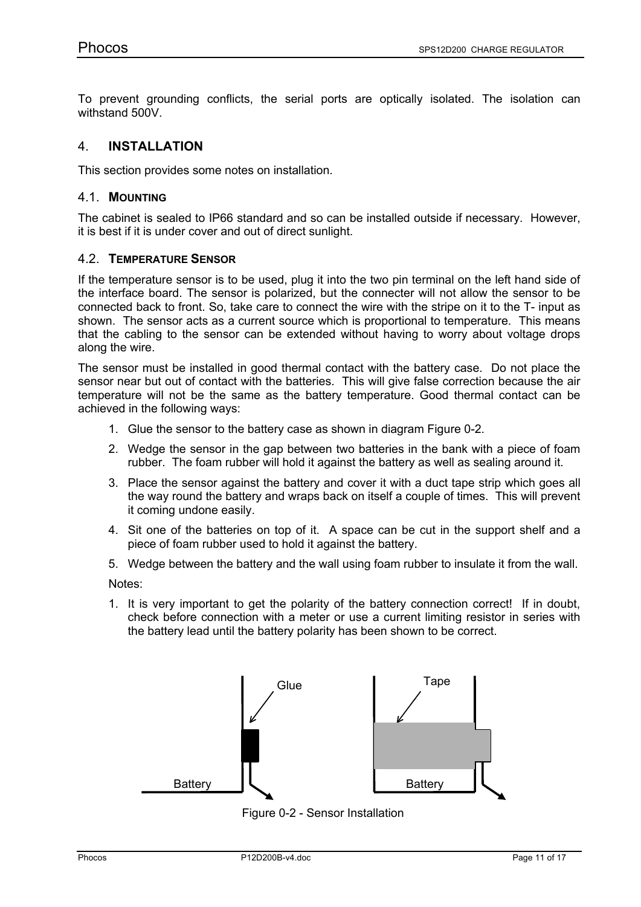To prevent grounding conflicts, the serial ports are optically isolated. The isolation can withstand 500V.

## 4. **INSTALLATION**

This section provides some notes on installation.

#### 4.1. **MOUNTING**

The cabinet is sealed to IP66 standard and so can be installed outside if necessary. However, it is best if it is under cover and out of direct sunlight.

#### 4.2. **TEMPERATURE SENSOR**

If the temperature sensor is to be used, plug it into the two pin terminal on the left hand side of the interface board. The sensor is polarized, but the connecter will not allow the sensor to be connected back to front. So, take care to connect the wire with the stripe on it to the T- input as shown. The sensor acts as a current source which is proportional to temperature. This means that the cabling to the sensor can be extended without having to worry about voltage drops along the wire.

The sensor must be installed in good thermal contact with the battery case. Do not place the sensor near but out of contact with the batteries. This will give false correction because the air temperature will not be the same as the battery temperature. Good thermal contact can be achieved in the following ways:

- 1. Glue the sensor to the battery case as shown in diagram Figure 0-2.
- 2. Wedge the sensor in the gap between two batteries in the bank with a piece of foam rubber. The foam rubber will hold it against the battery as well as sealing around it.
- 3. Place the sensor against the battery and cover it with a duct tape strip which goes all the way round the battery and wraps back on itself a couple of times. This will prevent it coming undone easily.
- 4. Sit one of the batteries on top of it. A space can be cut in the support shelf and a piece of foam rubber used to hold it against the battery.
- 5. Wedge between the battery and the wall using foam rubber to insulate it from the wall.

Notes:

1. It is very important to get the polarity of the battery connection correct! If in doubt, check before connection with a meter or use a current limiting resistor in series with the battery lead until the battery polarity has been shown to be correct.



Figure 0-2 - Sensor Installation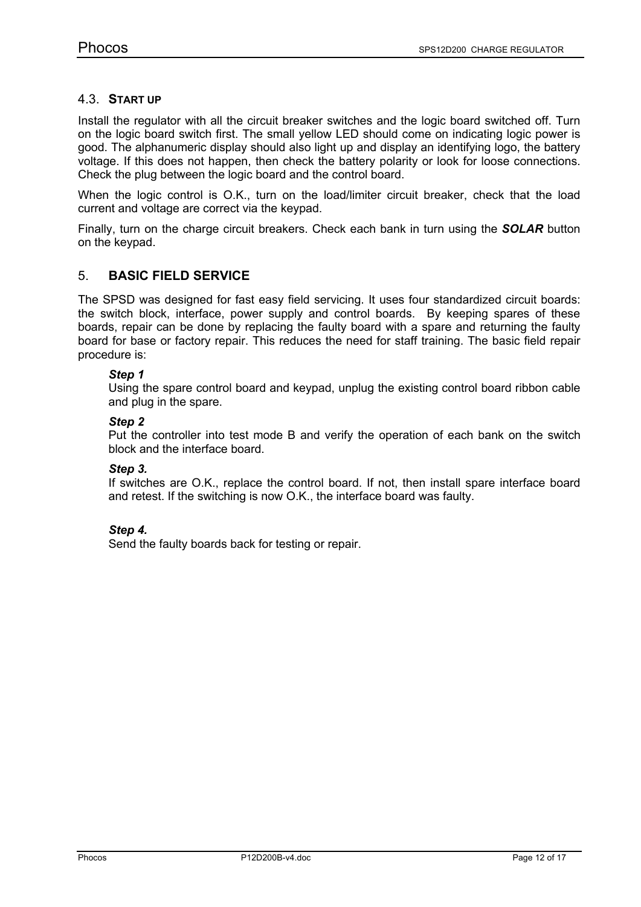#### 4.3. **START UP**

Install the regulator with all the circuit breaker switches and the logic board switched off. Turn on the logic board switch first. The small yellow LED should come on indicating logic power is good. The alphanumeric display should also light up and display an identifying logo, the battery voltage. If this does not happen, then check the battery polarity or look for loose connections. Check the plug between the logic board and the control board.

When the logic control is O.K., turn on the load/limiter circuit breaker, check that the load current and voltage are correct via the keypad.

Finally, turn on the charge circuit breakers. Check each bank in turn using the *SOLAR* button on the keypad.

#### 5. **BASIC FIELD SERVICE**

The SPSD was designed for fast easy field servicing. It uses four standardized circuit boards: the switch block, interface, power supply and control boards. By keeping spares of these boards, repair can be done by replacing the faulty board with a spare and returning the faulty board for base or factory repair. This reduces the need for staff training. The basic field repair procedure is:

#### *Step 1*

Using the spare control board and keypad, unplug the existing control board ribbon cable and plug in the spare.

#### *Step 2*

Put the controller into test mode B and verify the operation of each bank on the switch block and the interface board.

#### *Step 3.*

If switches are O.K., replace the control board. If not, then install spare interface board and retest. If the switching is now O.K., the interface board was faulty.

#### *Step 4.*

Send the faulty boards back for testing or repair.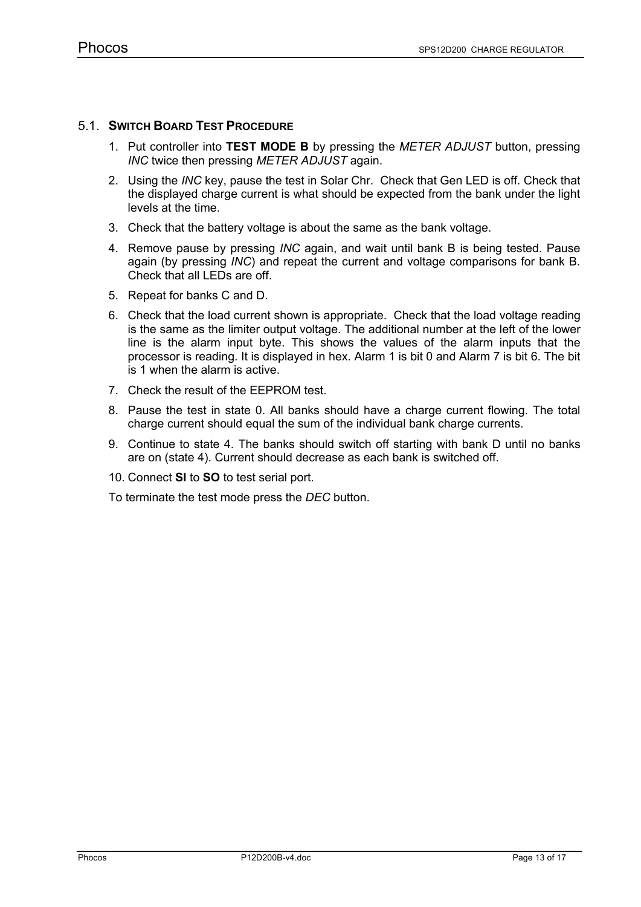### 5.1. **SWITCH BOARD TEST PROCEDURE**

- 1. Put controller into **TEST MODE B** by pressing the *METER ADJUST* button, pressing *INC* twice then pressing *METER ADJUST* again.
- 2. Using the *INC* key, pause the test in Solar Chr. Check that Gen LED is off. Check that the displayed charge current is what should be expected from the bank under the light levels at the time.
- 3. Check that the battery voltage is about the same as the bank voltage.
- 4. Remove pause by pressing *INC* again, and wait until bank B is being tested. Pause again (by pressing *INC*) and repeat the current and voltage comparisons for bank B. Check that all LEDs are off.
- 5. Repeat for banks C and D.
- 6. Check that the load current shown is appropriate. Check that the load voltage reading is the same as the limiter output voltage. The additional number at the left of the lower line is the alarm input byte. This shows the values of the alarm inputs that the processor is reading. It is displayed in hex. Alarm 1 is bit 0 and Alarm 7 is bit 6. The bit is 1 when the alarm is active.
- 7. Check the result of the EEPROM test.
- 8. Pause the test in state 0. All banks should have a charge current flowing. The total charge current should equal the sum of the individual bank charge currents.
- 9. Continue to state 4. The banks should switch off starting with bank D until no banks are on (state 4). Current should decrease as each bank is switched off.
- 10. Connect **SI** to **SO** to test serial port.

To terminate the test mode press the *DEC* button.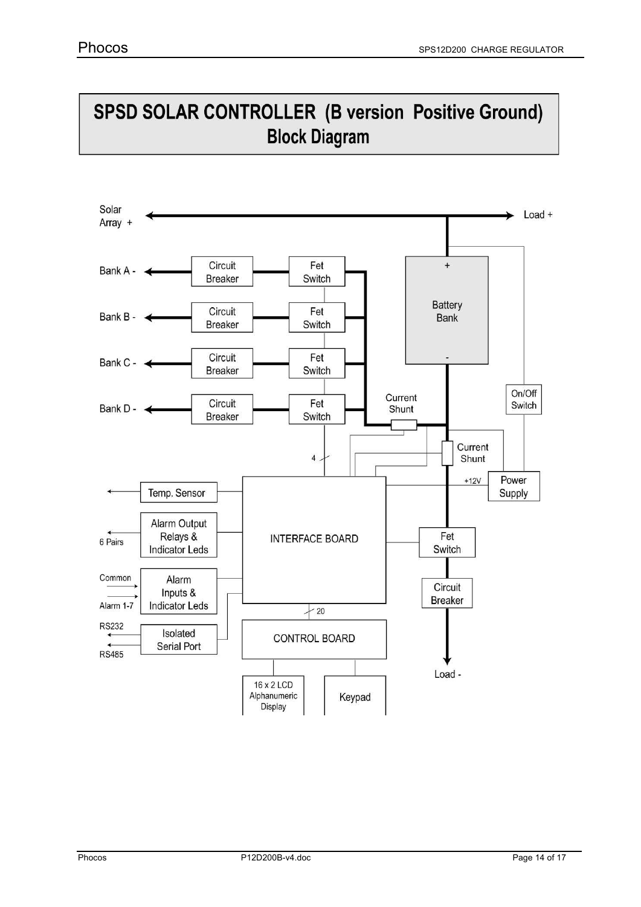# SPSD SOLAR CONTROLLER (B version Positive Ground) **Block Diagram**

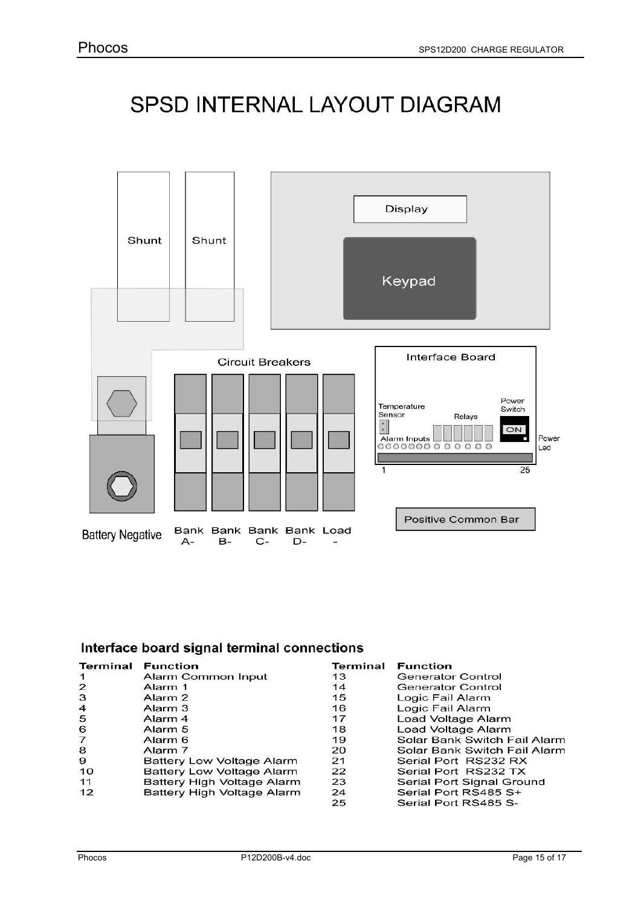# SPSD INTERNAL LAYOUT DIAGRAM



# Interface board signal terminal connections

| Terminal       | <b>Function</b>            | Terminal | <b>Function</b>              |
|----------------|----------------------------|----------|------------------------------|
| $\mathbf 1$    | Alarm Common Input         | 13       | <b>Generator Control</b>     |
| 2              | Alarm 1                    | 14       | Generator Control            |
| 3              | Alarm <sub>2</sub>         | 15       | Logic Fail Alarm             |
| $\overline{4}$ | Alarm 3                    | 16       | Logic Fail Alarm             |
| 5              | Alarm <sub>4</sub>         | 17       | Load Voltage Alarm           |
| $\frac{6}{7}$  | Alarm 5                    | 18       | Load Voltage Alarm           |
|                | Alarm 6                    | 19       | Solar Bank Switch Fail Alarm |
| 8              | Alarm 7                    | 20       | Solar Bank Switch Fail Alarm |
| 9              | Battery Low Voltage Alarm  | 21       | Serial Port RS232 RX         |
| 10             | Battery Low Voltage Alarm  | 22       | Serial Port RS232 TX         |
| 11             | Battery High Voltage Alarm | 23       | Serial Port Signal Ground    |
| 12             | Battery High Voltage Alarm | 24       | Serial Port RS485 S+         |
|                |                            | 25       | Serial Port RS485 S-         |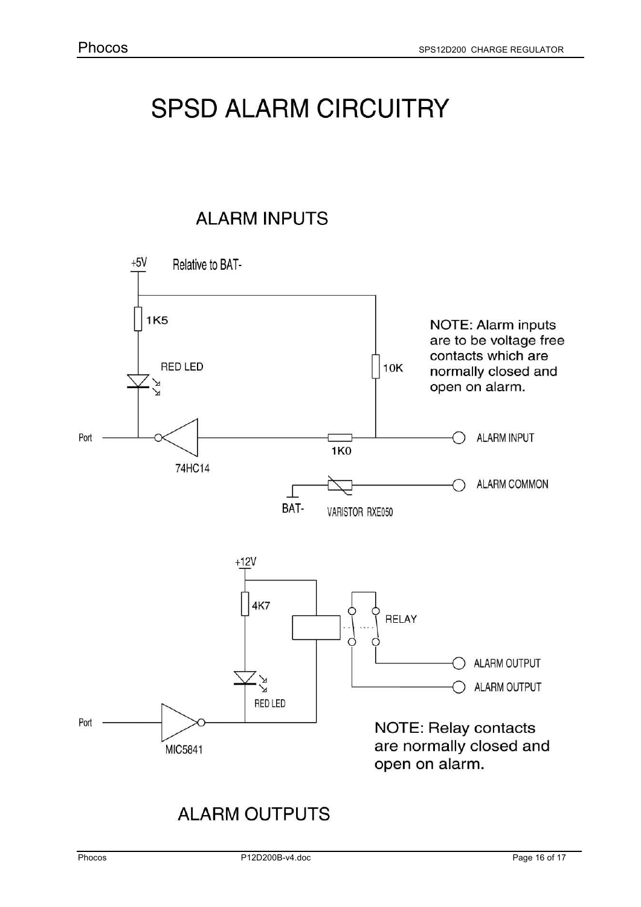# **SPSD ALARM CIRCUITRY**

**ALARM INPUTS** 



# **ALARM OUTPUTS**